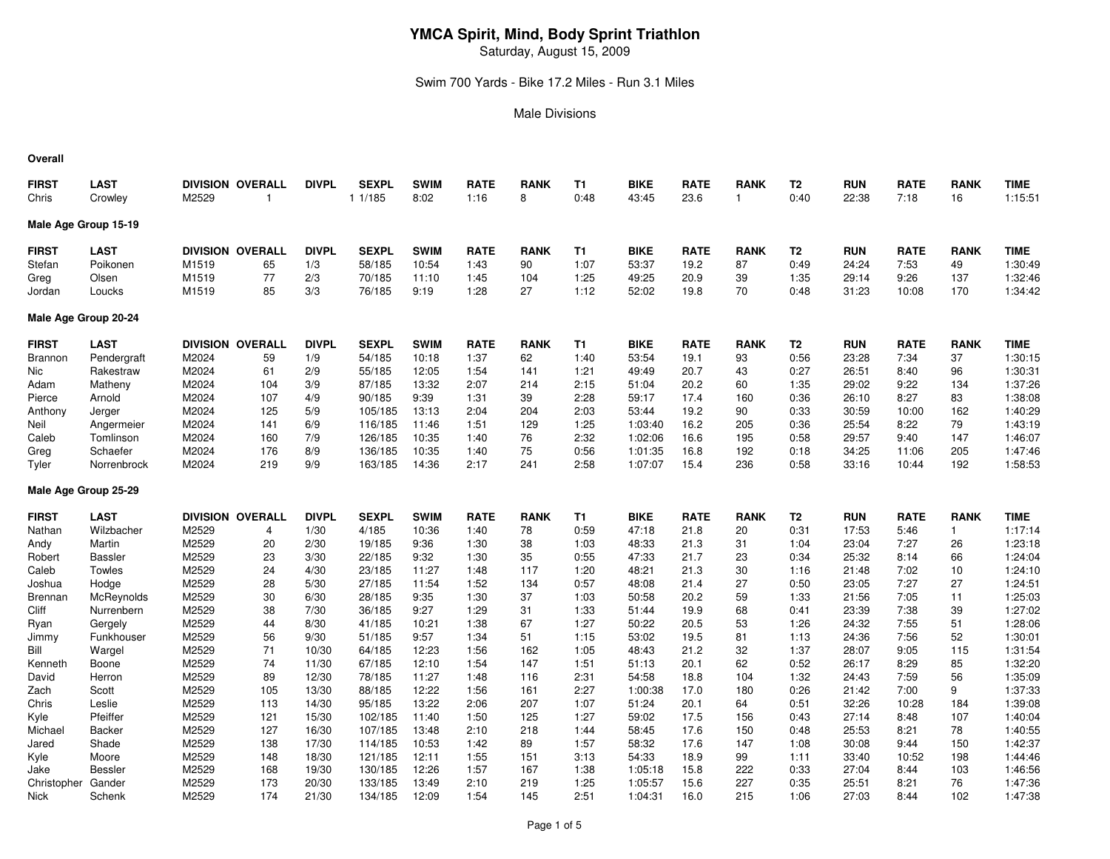Saturday, August 15, 2009

#### Swim 700 Yards - Bike 17.2 Miles - Run 3.1 Miles

#### Male Divisions

#### **Overall**

| <b>FIRST</b><br>Chris | <b>LAST</b><br>Crowley | M2529 | <b>DIVISION OVERALL</b><br>1 | <b>DIVPL</b> | <b>SEXPL</b><br>1 1/185 | <b>SWIM</b><br>8:02 | <b>RATE</b><br>1:16 | <b>RANK</b><br>8 | T1<br>0:48 | <b>BIKE</b><br>43:45 | <b>RATE</b><br>23.6 | <b>RANK</b><br>$\mathbf{1}$ | T <sub>2</sub><br>0:40 | <b>RUN</b><br>22:38 | <b>RATE</b><br>7:18 | <b>RANK</b><br>16 | <b>TIME</b><br>1:15:51 |
|-----------------------|------------------------|-------|------------------------------|--------------|-------------------------|---------------------|---------------------|------------------|------------|----------------------|---------------------|-----------------------------|------------------------|---------------------|---------------------|-------------------|------------------------|
| Male Age Group 15-19  |                        |       |                              |              |                         |                     |                     |                  |            |                      |                     |                             |                        |                     |                     |                   |                        |
| <b>FIRST</b>          | <b>LAST</b>            |       | <b>DIVISION OVERALL</b>      | <b>DIVPL</b> | <b>SEXPL</b>            | <b>SWIM</b>         | <b>RATE</b>         | <b>RANK</b>      | <b>T1</b>  | <b>BIKE</b>          | <b>RATE</b>         | <b>RANK</b>                 | T <sub>2</sub>         | <b>RUN</b>          | <b>RATE</b>         | <b>RANK</b>       | <b>TIME</b>            |
| Stefan                | Poikonen               | M1519 | 65                           | 1/3          | 58/185                  | 10:54               | 1:43                | 90               | 1:07       | 53:37                | 19.2                | 87                          | 0:49                   | 24:24               | 7:53                | 49                | 1:30:49                |
| Greg                  | Olsen                  | M1519 | 77                           | 2/3          | 70/185                  | 11:10               | 1:45                | 104              | 1:25       | 49:25                | 20.9                | 39                          | 1:35                   | 29:14               | 9:26                | 137               | 1:32:46                |
| Jordan                | Loucks                 | M1519 | 85                           | 3/3          | 76/185                  | 9:19                | 1:28                | 27               | 1:12       | 52:02                | 19.8                | 70                          | 0:48                   | 31:23               | 10:08               | 170               | 1:34:42                |
| Male Age Group 20-24  |                        |       |                              |              |                         |                     |                     |                  |            |                      |                     |                             |                        |                     |                     |                   |                        |
| <b>FIRST</b>          | <b>LAST</b>            |       | <b>DIVISION OVERALL</b>      | <b>DIVPL</b> | <b>SEXPL</b>            | <b>SWIM</b>         | <b>RATE</b>         | <b>RANK</b>      | T1         | <b>BIKE</b>          | <b>RATE</b>         | <b>RANK</b>                 | T2                     | <b>RUN</b>          | <b>RATE</b>         | <b>RANK</b>       | <b>TIME</b>            |
| <b>Brannon</b>        | Pendergraft            | M2024 | 59                           | 1/9          | 54/185                  | 10:18               | 1:37                | 62               | 1:40       | 53:54                | 19.1                | 93                          | 0:56                   | 23:28               | 7:34                | 37                | 1:30:15                |
| Nic                   | Rakestraw              | M2024 | 61                           | 2/9          | 55/185                  | 12:05               | 1:54                | 141              | 1:21       | 49:49                | 20.7                | 43                          | 0:27                   | 26:51               | 8:40                | 96                | 1:30:31                |
| Adam                  | Matheny                | M2024 | 104                          | 3/9          | 87/185                  | 13:32               | 2:07                | 214              | 2:15       | 51:04                | 20.2                | 60                          | 1:35                   | 29:02               | 9:22                | 134               | 1:37:26                |
| Pierce                | Arnold                 | M2024 | 107                          | 4/9          | 90/185                  | 9:39                | 1:31                | 39               | 2:28       | 59:17                | 17.4                | 160                         | 0:36                   | 26:10               | 8:27                | 83                | 1:38:08                |
| Anthony               | Jerger                 | M2024 | 125                          | 5/9          | 105/185                 | 13:13               | 2:04                | 204              | 2:03       | 53:44                | 19.2                | 90                          | 0:33                   | 30:59               | 10:00               | 162               | 1:40:29                |
| Neil                  | Angermeier             | M2024 | 141                          | 6/9          | 116/185                 | 11:46               | 1:51                | 129              | 1:25       | 1:03:40              | 16.2                | 205                         | 0:36                   | 25:54               | 8:22                | 79                | 1:43:19                |
| Caleb                 | Tomlinson              | M2024 | 160                          | 7/9          | 126/185                 | 10:35               | 1:40                | 76               | 2:32       | 1:02:06              | 16.6                | 195                         | 0:58                   | 29:57               | 9:40                | 147               | 1:46:07                |
| Greg                  | Schaefer               | M2024 | 176                          | 8/9          | 136/185                 | 10:35               | 1:40                | 75               | 0:56       | 1:01:35              | 16.8                | 192                         | 0:18                   | 34:25               | 11:06               | 205               | 1:47:46                |
| Tyler                 | Norrenbrock            | M2024 | 219                          | 9/9          | 163/185                 | 14:36               | 2:17                | 241              | 2:58       | 1:07:07              | 15.4                | 236                         | 0:58                   | 33:16               | 10:44               | 192               | 1:58:53                |
| Male Age Group 25-29  |                        |       |                              |              |                         |                     |                     |                  |            |                      |                     |                             |                        |                     |                     |                   |                        |
| <b>FIRST</b>          | <b>LAST</b>            |       | <b>DIVISION OVERALL</b>      | <b>DIVPL</b> | <b>SEXPL</b>            | <b>SWIM</b>         | <b>RATE</b>         | <b>RANK</b>      | <b>T1</b>  | <b>BIKE</b>          | <b>RATE</b>         | <b>RANK</b>                 | T <sub>2</sub>         | <b>RUN</b>          | <b>RATE</b>         | <b>RANK</b>       | <b>TIME</b>            |
| Nathan                | Wilzbacher             | M2529 | 4                            | 1/30         | 4/185                   | 10:36               | 1:40                | 78               | 0:59       | 47:18                | 21.8                | 20                          | 0:31                   | 17:53               | 5:46                | $\mathbf{1}$      | 1:17:14                |
| Andy                  | Martin                 | M2529 | 20                           | 2/30         | 19/185                  | 9:36                | 1:30                | 38               | 1:03       | 48:33                | 21.3                | 31                          | 1:04                   | 23:04               | 7:27                | 26                | 1:23:18                |
| Robert                | <b>Bassler</b>         | M2529 | 23                           | 3/30         | 22/185                  | 9:32                | 1:30                | 35               | 0:55       | 47:33                | 21.7                | 23                          | 0:34                   | 25:32               | 8:14                | 66                | 1:24:04                |
| Caleb                 | Towles                 | M2529 | 24                           | 4/30         | 23/185                  | 11:27               | 1:48                | 117              | 1:20       | 48:21                | 21.3                | 30                          | 1:16                   | 21:48               | 7:02                | 10                | 1:24:10                |
| Joshua                | Hodge                  | M2529 | 28                           | 5/30         | 27/185                  | 11:54               | 1:52                | 134              | 0:57       | 48:08                | 21.4                | 27                          | 0:50                   | 23:05               | 7:27                | 27                | 1:24:51                |
| <b>Brennan</b>        | McReynolds             | M2529 | 30                           | 6/30         | 28/185                  | 9:35                | 1:30                | 37               | 1:03       | 50:58                | 20.2                | 59                          | 1:33                   | 21:56               | 7:05                | 11                | 1:25:03                |
| <b>Cliff</b>          | Nurrenbern             | M2529 | 38                           | 7/30         | 36/185                  | 9:27                | 1:29                | 31               | 1:33       | 51:44                | 19.9                | 68                          | 0:41                   | 23:39               | 7:38                | 39                | 1:27:02                |
| Ryan                  | Gergely                | M2529 | 44                           | 8/30         | 41/185                  | 10:21               | 1:38                | 67               | 1:27       | 50:22                | 20.5                | 53                          | 1:26                   | 24:32               | 7:55                | 51                | 1:28:06                |
| Jimmy                 | Funkhouser             | M2529 | 56                           | 9/30         | 51/185                  | 9:57                | 1:34                | 51               | 1:15       | 53:02                | 19.5                | 81                          | 1:13                   | 24:36               | 7:56                | 52                | 1:30:01                |
| Bill                  | Wargel                 | M2529 | 71                           | 10/30        | 64/185                  | 12:23               | 1:56                | 162              | 1:05       | 48:43                | 21.2                | 32                          | 1:37                   | 28:07               | 9:05                | 115               | 1:31:54                |
| Kenneth               | Boone                  | M2529 | 74                           | 11/30        | 67/185                  | 12:10               | 1:54                | 147              | 1:51       | 51:13                | 20.1                | 62                          | 0:52                   | 26:17               | 8:29                | 85                | 1:32:20                |
| David                 | Herron                 | M2529 | 89                           | 12/30        | 78/185                  | 11:27               | 1:48                | 116              | 2:31       | 54:58                | 18.8                | 104                         | 1:32                   | 24:43               | 7:59                | 56                | 1:35:09                |
| Zach                  | Scott                  | M2529 | 105                          | 13/30        | 88/185                  | 12:22               | 1:56                | 161              | 2:27       | 1:00:38              | 17.0                | 180                         | 0:26                   | 21:42               | 7:00                | 9                 | 1:37:33                |
| Chris                 | Leslie                 | M2529 | 113                          | 14/30        | 95/185                  | 13:22               | 2:06                | 207              | 1:07       | 51:24                | 20.1                | 64                          | 0:51                   | 32:26               | 10:28               | 184               | 1:39:08                |
| Kyle                  | Pfeiffer               | M2529 | 121                          | 15/30        | 102/185                 | 11:40               | 1:50                | 125              | 1:27       | 59:02                | 17.5                | 156                         | 0:43                   | 27:14               | 8:48                | 107               | 1:40:04                |
| Michael               | Backer                 | M2529 | 127                          | 16/30        | 107/185                 | 13:48               | 2:10                | 218              | 1:44       | 58:45                | 17.6                | 150                         | 0:48                   | 25:53               | 8:21                | 78                | 1:40:55                |
| Jared                 | Shade                  | M2529 | 138                          | 17/30        | 114/185                 | 10:53               | 1:42                | 89               | 1:57       | 58:32                | 17.6                | 147                         | 1:08                   | 30:08               | 9:44                | 150               | 1:42:37                |
| Kyle                  | Moore                  | M2529 | 148                          | 18/30        | 121/185                 | 12:11               | 1:55                | 151              | 3:13       | 54:33                | 18.9                | 99                          | 1:11                   | 33:40               | 10:52               | 198               | 1:44:46                |
| Jake                  | <b>Bessler</b>         | M2529 | 168                          | 19/30        | 130/185                 | 12:26               | 1:57                | 167              | 1:38       | 1:05:18              | 15.8                | 222                         | 0:33                   | 27:04               | 8:44                | 103               | 1:46:56                |
| Christopher           | Gander                 | M2529 | 173                          | 20/30        | 133/185                 | 13:49               | 2:10                | 219              | 1:25       | 1:05:57              | 15.6                | 227                         | 0:35                   | 25:51               | 8:21                | 76                | 1:47:36                |
| Nick                  | Schenk                 | M2529 | 174                          | 21/30        | 134/185                 | 12:09               | 1:54                | 145              | 2:51       | 1:04:31              | 16.0                | 215                         | 1:06                   | 27:03               | 8:44                | 102               | 1:47:38                |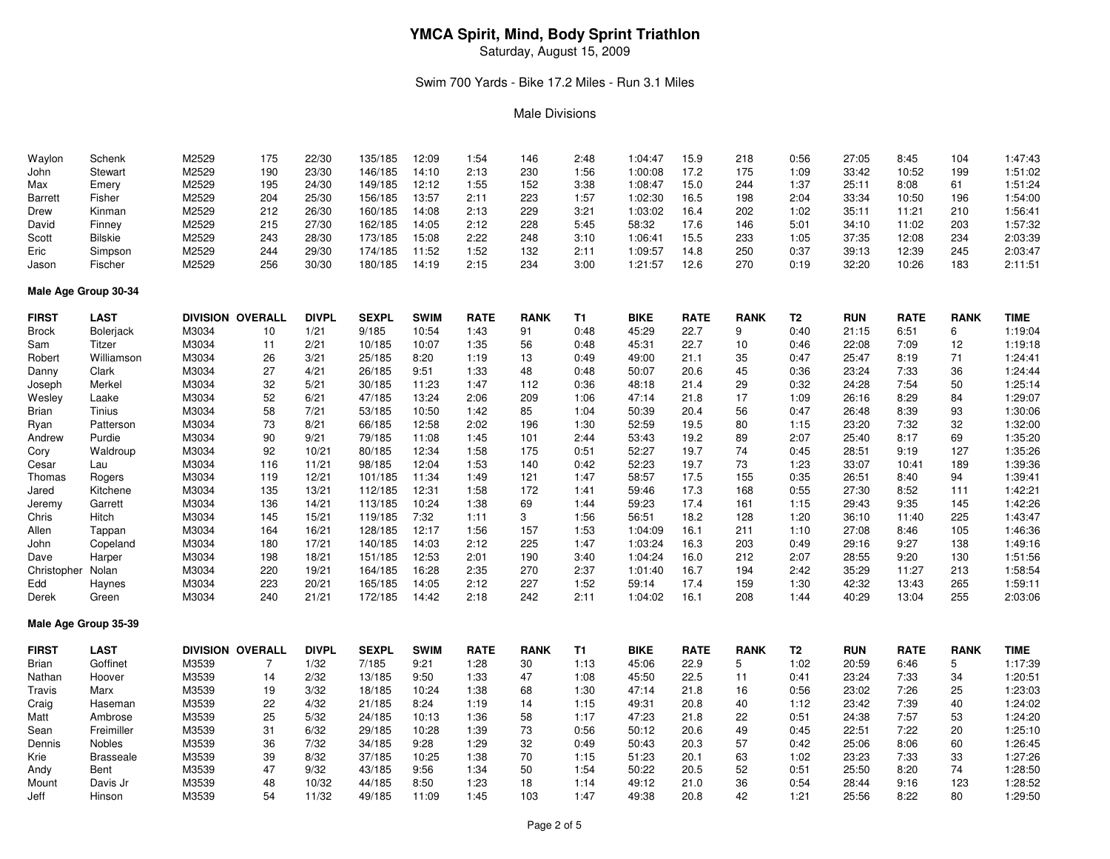Saturday, August 15, 2009

#### Swim 700 Yards - Bike 17.2 Miles - Run 3.1 Miles

#### Male Divisions

| Waylon               | Schenk           | M2529 | 175                     | 22/30        | 135/185      | 12:09       | 1:54        | 146         | 2:48      | 1:04:47     | 15.9        | 218         | 0:56           | 27:05      | 8:45        | 104         | 1:47:43     |
|----------------------|------------------|-------|-------------------------|--------------|--------------|-------------|-------------|-------------|-----------|-------------|-------------|-------------|----------------|------------|-------------|-------------|-------------|
| John                 | Stewart          | M2529 | 190                     | 23/30        | 146/185      | 14:10       | 2:13        | 230         | 1:56      | 1:00:08     | 17.2        | 175         | 1:09           | 33:42      | 10:52       | 199         | 1:51:02     |
| Max                  | Emery            | M2529 | 195                     | 24/30        | 149/185      | 12:12       | 1:55        | 152         | 3:38      | 1:08:47     | 15.0        | 244         | 1:37           | 25:11      | 8:08        | 61          | 1:51:24     |
| <b>Barrett</b>       | Fisher           | M2529 | 204                     | 25/30        | 156/185      | 13:57       | 2:11        | 223         | 1:57      | 1:02:30     | 16.5        | 198         | 2:04           | 33:34      | 10:50       | 196         | 1:54:00     |
| Drew                 | Kinman           | M2529 | 212                     | 26/30        | 160/185      | 14:08       | 2:13        | 229         | 3:21      | 1:03:02     | 16.4        | 202         | 1:02           | 35:11      | 11:21       | 210         | 1:56:41     |
| David                | Finney           | M2529 | 215                     | 27/30        | 162/185      | 14:05       | 2:12        | 228         | 5:45      | 58:32       | 17.6        | 146         | 5:01           | 34:10      | 11:02       | 203         | 1:57:32     |
| Scott                | <b>Bilskie</b>   | M2529 | 243                     | 28/30        | 173/185      | 15:08       | 2:22        | 248         | 3:10      | 1:06:41     | 15.5        | 233         | 1:05           | 37:35      | 12:08       | 234         | 2:03:39     |
| Eric                 | Simpson          | M2529 | 244                     | 29/30        | 174/185      | 11:52       | 1:52        | 132         | 2:11      | 1:09:57     | 14.8        | 250         | 0:37           | 39:13      | 12:39       | 245         | 2:03:47     |
| Jason                | Fischer          | M2529 | 256                     | 30/30        | 180/185      | 14:19       | 2:15        | 234         | 3:00      | 1:21:57     | 12.6        | 270         | 0:19           | 32:20      | 10:26       | 183         | 2:11:51     |
| Male Age Group 30-34 |                  |       |                         |              |              |             |             |             |           |             |             |             |                |            |             |             |             |
| <b>FIRST</b>         | <b>LAST</b>      |       | <b>DIVISION OVERALL</b> | <b>DIVPL</b> | <b>SEXPL</b> | <b>SWIM</b> | <b>RATE</b> | <b>RANK</b> | T1        | <b>BIKE</b> | <b>RATE</b> | <b>RANK</b> | T <sub>2</sub> | <b>RUN</b> | <b>RATE</b> | <b>RANK</b> | <b>TIME</b> |
| Brock                | <b>Bolerjack</b> | M3034 | 10                      | 1/21         | 9/185        | 10:54       | 1:43        | 91          | 0:48      | 45:29       | 22.7        | 9           | 0:40           | 21:15      | 6:51        | 6           | 1:19:04     |
| Sam                  | Titzer           | M3034 | 11                      | 2/21         | 10/185       | 10:07       | 1:35        | 56          | 0:48      | 45:31       | 22.7        | 10          | 0:46           | 22:08      | 7:09        | 12          | 1:19:18     |
| Robert               | Williamson       | M3034 | 26                      | 3/21         | 25/185       | 8:20        | 1:19        | 13          | 0:49      | 49:00       | 21.1        | 35          | 0:47           | 25:47      | 8:19        | 71          | 1:24:41     |
| Danny                | Clark            | M3034 | 27                      | 4/21         | 26/185       | 9:51        | 1:33        | 48          | 0:48      | 50:07       | 20.6        | 45          | 0:36           | 23:24      | 7:33        | 36          | 1:24:44     |
| Joseph               | Merkel           | M3034 | 32                      | 5/21         | 30/185       | 11:23       | 1:47        | 112         | 0:36      | 48:18       | 21.4        | 29          | 0:32           | 24:28      | 7:54        | 50          | 1:25:14     |
| Wesley               | Laake            | M3034 | 52                      | 6/21         | 47/185       | 13:24       | 2:06        | 209         | 1:06      | 47:14       | 21.8        | 17          | 1:09           | 26:16      | 8:29        | 84          | 1:29:07     |
| Brian                | Tinius           | M3034 | 58                      | 7/21         | 53/185       | 10:50       | 1:42        | 85          | 1:04      | 50:39       | 20.4        | 56          | 0:47           | 26:48      | 8:39        | 93          | 1:30:06     |
| Ryan                 | Patterson        | M3034 | 73                      | 8/21         | 66/185       | 12:58       | 2:02        | 196         | 1:30      | 52:59       | 19.5        | 80          | 1:15           | 23:20      | 7:32        | 32          | 1:32:00     |
| Andrew               | Purdie           | M3034 | 90                      | 9/21         | 79/185       | 11:08       | 1:45        | 101         | 2:44      | 53:43       | 19.2        | 89          | 2:07           | 25:40      | 8:17        | 69          | 1:35:20     |
| Cory                 | Waldroup         | M3034 | 92                      | 10/21        | 80/185       | 12:34       | 1:58        | 175         | 0:51      | 52:27       | 19.7        | 74          | 0:45           | 28:51      | 9:19        | 127         | 1:35:26     |
| Cesar                | Lau              | M3034 | 116                     | 11/21        | 98/185       | 12:04       | 1:53        | 140         | 0:42      | 52:23       | 19.7        | 73          | 1:23           | 33:07      | 10:41       | 189         | 1:39:36     |
| Thomas               | Rogers           | M3034 | 119                     | 12/21        | 101/185      | 11:34       | 1:49        | 121         | 1:47      | 58:57       | 17.5        | 155         | 0:35           | 26:51      | 8:40        | 94          | 1:39:41     |
| Jared                | Kitchene         | M3034 | 135                     | 13/21        | 112/185      | 12:31       | 1:58        | 172         | 1:41      | 59:46       | 17.3        | 168         | 0:55           | 27:30      | 8:52        | 111         | 1:42:21     |
| Jeremy               | Garrett          | M3034 | 136                     | 14/21        | 113/185      | 10:24       | 1:38        | 69          | 1:44      | 59:23       | 17.4        | 161         | 1:15           | 29:43      | 9:35        | 145         | 1:42:26     |
| Chris                | Hitch            | M3034 | 145                     | 15/21        | 119/185      | 7:32        | 1:11        | 3           | 1:56      | 56:51       | 18.2        | 128         | 1:20           | 36:10      | 11:40       | 225         | 1:43:47     |
| Allen                | Tappan           | M3034 | 164                     | 16/21        | 128/185      | 12:17       | 1:56        | 157         | 1:53      | 1:04:09     | 16.1        | 211         | 1:10           | 27:08      | 8:46        | 105         | 1:46:36     |
| John                 | Copeland         | M3034 | 180                     | 17/21        | 140/185      | 14:03       | 2:12        | 225         | 1:47      | 1:03:24     | 16.3        | 203         | 0:49           | 29:16      | 9:27        | 138         | 1:49:16     |
| Dave                 | Harper           | M3034 | 198                     | 18/21        | 151/185      | 12:53       | 2:01        | 190         | 3:40      | 1:04:24     | 16.0        | 212         | 2:07           | 28:55      | 9:20        | 130         | 1:51:56     |
| Christopher          | Nolan            | M3034 | 220                     | 19/21        | 164/185      | 16:28       | 2:35        | 270         | 2:37      | 1:01:40     | 16.7        | 194         | 2:42           | 35:29      | 11:27       | 213         | 1:58:54     |
| Edd                  | Haynes           | M3034 | 223                     | 20/21        | 165/185      | 14:05       | 2:12        | 227         | 1:52      | 59:14       | 17.4        | 159         | 1:30           | 42:32      | 13:43       | 265         | 1:59:11     |
| Derek                | Green            | M3034 | 240                     | 21/21        | 172/185      | 14:42       | 2:18        | 242         | 2:11      | 1:04:02     | 16.1        | 208         | 1:44           | 40:29      | 13:04       | 255         | 2:03:06     |
| Male Age Group 35-39 |                  |       |                         |              |              |             |             |             |           |             |             |             |                |            |             |             |             |
| <b>FIRST</b>         | <b>LAST</b>      |       | <b>DIVISION OVERALL</b> | <b>DIVPL</b> | <b>SEXPL</b> | <b>SWIM</b> | <b>RATE</b> | <b>RANK</b> | <b>T1</b> | <b>BIKE</b> | <b>RATE</b> | <b>RANK</b> | T <sub>2</sub> | <b>RUN</b> | <b>RATE</b> | <b>RANK</b> | <b>TIME</b> |
| Brian                | Goffinet         | M3539 | $\overline{7}$          | 1/32         | 7/185        | 9:21        | 1:28        | 30          | 1:13      | 45:06       | 22.9        | 5           | 1:02           | 20:59      | 6:46        | 5           | 1:17:39     |
| Nathan               | Hoover           | M3539 | 14                      | 2/32         | 13/185       | 9:50        | 1:33        | 47          | 1:08      | 45:50       | 22.5        | 11          | 0:41           | 23:24      | 7:33        | 34          | 1:20:51     |
| Travis               | Marx             | M3539 | 19                      | 3/32         | 18/185       | 10:24       | 1:38        | 68          | 1:30      | 47:14       | 21.8        | 16          | 0:56           | 23:02      | 7:26        | 25          | 1:23:03     |
| Craig                | Haseman          | M3539 | 22                      | 4/32         | 21/185       | 8:24        | 1:19        | 14          | 1:15      | 49:31       | 20.8        | 40          | 1:12           | 23:42      | 7:39        | 40          | 1:24:02     |
| Matt                 | Ambrose          | M3539 | 25                      | 5/32         | 24/185       | 10:13       | 1:36        | 58          | 1:17      | 47:23       | 21.8        | 22          | 0:51           | 24:38      | 7:57        | 53          | 1:24:20     |
| Sean                 | Freimiller       | M3539 | 31                      | 6/32         | 29/185       | 10:28       | 1:39        | 73          | 0:56      | 50:12       | 20.6        | 49          | 0:45           | 22:51      | 7:22        | 20          | 1:25:10     |
| Dennis               | Nobles           | M3539 | 36                      | 7/32         | 34/185       | 9:28        | 1:29        | 32          | 0:49      | 50:43       | 20.3        | 57          | 0:42           | 25:06      | 8:06        | 60          | 1:26:45     |
| Krie                 | <b>Brasseale</b> | M3539 | 39                      | 8/32         | 37/185       | 10:25       | 1:38        | 70          | 1:15      | 51:23       | 20.1        | 63          | 1:02           | 23:23      | 7:33        | 33          | 1:27:26     |
| Andy                 | Bent             | M3539 | 47                      | 9/32         | 43/185       | 9:56        | 1:34        | 50          | 1:54      | 50:22       | 20.5        | 52          | 0:51           | 25:50      | 8:20        | 74          | 1:28:50     |
| Mount                | Davis Jr         | M3539 | 48                      | 10/32        | 44/185       | 8:50        | 1:23        | 18          | 1:14      | 49:12       | 21.0        | 36          | 0:54           | 28:44      | 9:16        | 123         | 1:28:52     |
| Jeff                 | Hinson           | M3539 | 54                      | 11/32        | 49/185       | 11:09       | 1:45        | 103         | 1:47      | 49:38       | 20.8        | 42          | 1:21           | 25:56      | 8:22        | 80          | 1:29:50     |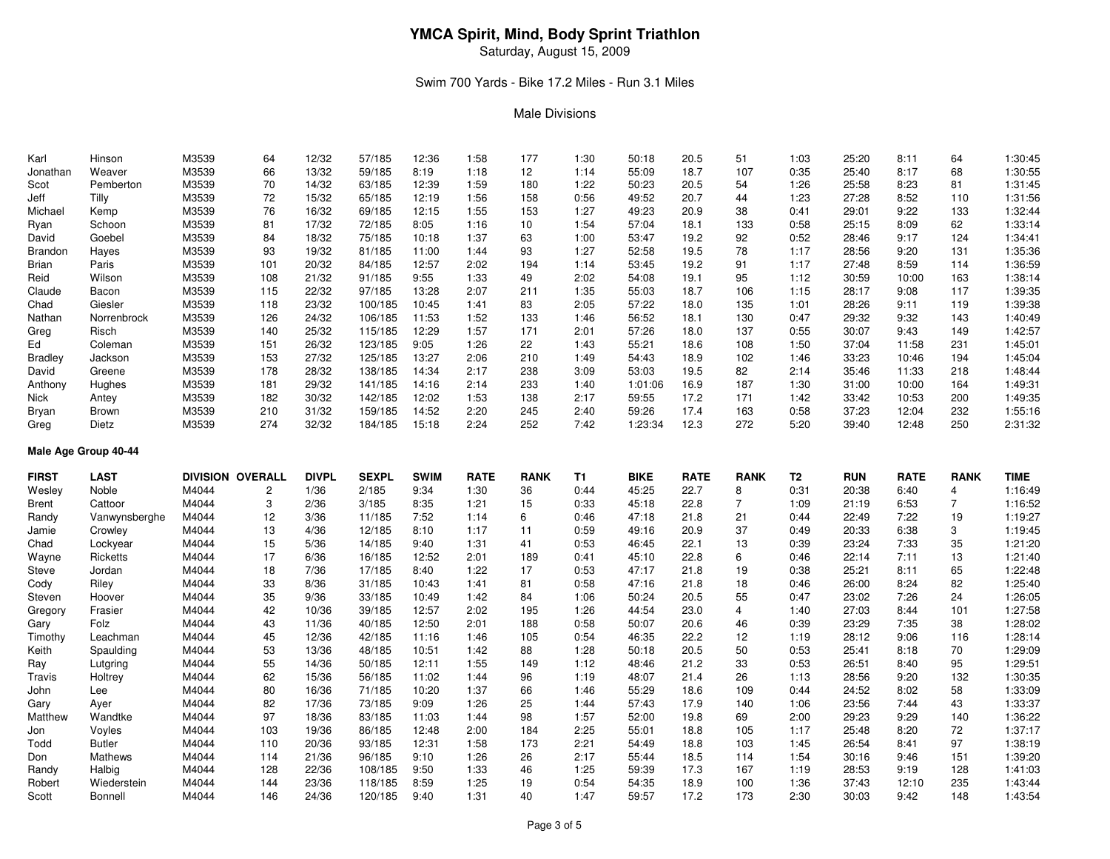Saturday, August 15, 2009

### Swim 700 Yards - Bike 17.2 Miles - Run 3.1 Miles

#### Male Divisions

| Karl           | Hinson      | M3539 | 64  | 12/32 | 57/185  | 12:36 | 1:58 | 177             | 1:30 | 50:18   | 20.5 | 51  | 1:03 | 25:20 | 8:11  | 64  | 1:30:45 |
|----------------|-------------|-------|-----|-------|---------|-------|------|-----------------|------|---------|------|-----|------|-------|-------|-----|---------|
| Jonathan       | Weaver      | M3539 | 66  | 13/32 | 59/185  | 8:19  | 1:18 | 12 <sup>2</sup> | 1:14 | 55:09   | 18.7 | 107 | 0:35 | 25:40 | 8:17  | 68  | 1:30:55 |
| Scot           | Pemberton   | M3539 | 70  | 14/32 | 63/185  | 12:39 | 1:59 | 180             | 1:22 | 50:23   | 20.5 | 54  | 1:26 | 25:58 | 8:23  | 81  | 1:31:45 |
| Jeff           | Tilly       | M3539 | 72  | 15/32 | 65/185  | 12:19 | 1:56 | 158             | 0:56 | 49:52   | 20.7 | 44  | 1:23 | 27:28 | 8:52  | 110 | 1:31:56 |
| Michael        | Kemp        | M3539 | 76  | 16/32 | 69/185  | 12:15 | 1:55 | 153             | 1:27 | 49:23   | 20.9 | 38  | 0:41 | 29:01 | 9:22  | 133 | 1:32:44 |
| Ryan           | Schoon      | M3539 | 81  | 17/32 | 72/185  | 8:05  | 1:16 | 10              | 1:54 | 57:04   | 18.1 | 133 | 0:58 | 25:15 | 8:09  | 62  | 1:33:14 |
| David          | Goebel      | M3539 | 84  | 18/32 | 75/185  | 10:18 | 1:37 | 63              | 1:00 | 53:47   | 19.2 | 92  | 0:52 | 28:46 | 9:17  | 124 | 1:34:41 |
| Brandon        | Hayes       | M3539 | 93  | 19/32 | 81/185  | 11:00 | 1:44 | 93              | 1:27 | 52:58   | 19.5 | 78  | 1:17 | 28:56 | 9:20  | 131 | 1:35:36 |
| <b>Brian</b>   | Paris       | M3539 | 101 | 20/32 | 84/185  | 12:57 | 2:02 | 194             | 1:14 | 53:45   | 19.2 | 91  | 1:17 | 27:48 | 8:59  | 114 | 1:36:59 |
| Reid           | Wilson      | M3539 | 108 | 21/32 | 91/185  | 9:55  | 1:33 | 49              | 2:02 | 54:08   | 19.1 | 95  | 1:12 | 30:59 | 10:00 | 163 | 1:38:14 |
| Claude         | Bacon       | M3539 | 115 | 22/32 | 97/185  | 13:28 | 2:07 | 211             | 1:35 | 55:03   | 18.7 | 106 | 1:15 | 28:17 | 9:08  | 117 | 1:39:35 |
| Chad           | Giesler     | M3539 | 118 | 23/32 | 100/185 | 10:45 | 1:41 | 83              | 2:05 | 57:22   | 18.0 | 135 | 1:01 | 28:26 | 9:11  | 119 | 1:39:38 |
| Nathan         | Norrenbrock | M3539 | 126 | 24/32 | 106/185 | 11:53 | 1:52 | 133             | 1:46 | 56:52   | 18.1 | 130 | 0:47 | 29:32 | 9:32  | 143 | 1:40:49 |
| Greg           | Risch       | M3539 | 140 | 25/32 | 115/185 | 12:29 | 1:57 | 171             | 2:01 | 57:26   | 18.0 | 137 | 0:55 | 30:07 | 9:43  | 149 | 1:42:57 |
| Ed             | Coleman     | M3539 | 151 | 26/32 | 123/185 | 9:05  | 1:26 | 22              | 1:43 | 55:21   | 18.6 | 108 | 1:50 | 37:04 | 11:58 | 231 | 1:45:01 |
| <b>Bradley</b> | Jackson     | M3539 | 153 | 27/32 | 125/185 | 13:27 | 2:06 | 210             | 1:49 | 54:43   | 18.9 | 102 | 1:46 | 33:23 | 10:46 | 194 | 1:45:04 |
| David          | Greene      | M3539 | 178 | 28/32 | 138/185 | 14:34 | 2:17 | 238             | 3:09 | 53:03   | 19.5 | 82  | 2:14 | 35:46 | 11:33 | 218 | 1:48:44 |
| Anthony        | Hughes      | M3539 | 181 | 29/32 | 141/185 | 14:16 | 2:14 | 233             | 1:40 | 1:01:06 | 16.9 | 187 | 1:30 | 31:00 | 10:00 | 164 | 1:49:31 |
| Nick           | Antey       | M3539 | 182 | 30/32 | 142/185 | 12:02 | 1:53 | 138             | 2:17 | 59:55   | 17.2 | 171 | 1:42 | 33:42 | 10:53 | 200 | 1:49:35 |
| Bryan          | Brown       | M3539 | 210 | 31/32 | 159/185 | 14:52 | 2:20 | 245             | 2:40 | 59:26   | 17.4 | 163 | 0:58 | 37:23 | 12:04 | 232 | 1:55:16 |
| Greg           | Dietz       | M3539 | 274 | 32/32 | 184/185 | 15:18 | 2:24 | 252             | 7:42 | 1:23:34 | 12.3 | 272 | 5:20 | 39:40 | 12:48 | 250 | 2:31:32 |

**Male Age Group 40-44**

| <b>FIRST</b> | <b>LAST</b>   |       | <b>DIVISION OVERALL</b> | <b>DIVPL</b> | <b>SEXPL</b> | <b>SWIM</b> | <b>RATE</b> | <b>RANK</b> | T1   | <b>BIKE</b> | <b>RATE</b> | <b>RANK</b> | T <sub>2</sub> | <b>RUN</b> | <b>RATE</b> | <b>RANK</b> | <b>TIME</b> |
|--------------|---------------|-------|-------------------------|--------------|--------------|-------------|-------------|-------------|------|-------------|-------------|-------------|----------------|------------|-------------|-------------|-------------|
| Wesley       | Noble         | M4044 |                         | 1/36         | 2/185        | 9:34        | 1:30        | 36          | 0:44 | 45:25       | 22.7        | 8           | 0:31           | 20:38      | 6:40        | 4           | 1:16:49     |
| Brent        | Cattoor       | M4044 |                         | 2/36         | 3/185        | 8:35        | 1:21        | 15          | 0:33 | 45:18       | 22.8        |             | 1:09           | 21:19      | 6:53        |             | 1:16:52     |
| Randy        | Vanwynsberghe | M4044 | 12                      | 3/36         | 11/185       | 7:52        | 1:14        | 6           | 0:46 | 47:18       | 21.8        | 21          | 0:44           | 22:49      | 7:22        | 19          | 1:19:27     |
| Jamie        | Crowley       | M4044 | 13                      | 4/36         | 12/185       | 8:10        | 1:17        | 11          | 0:59 | 49:16       | 20.9        | 37          | 0:49           | 20:33      | 6:38        | 3           | 1:19:45     |
| Chad         | Lockyear      | M4044 | 15                      | 5/36         | 14/185       | 9:40        | 1:31        | 41          | 0:53 | 46:45       | 22.1        | 13          | 0:39           | 23:24      | 7:33        | 35          | 1:21:20     |
| Wayne        | Ricketts      | M4044 | 17                      | 6/36         | 16/185       | 12:52       | 2:01        | 189         | 0:41 | 45:10       | 22.8        | 6           | 0:46           | 22:14      | 7:11        | 13          | 1:21:40     |
| Steve        | Jordan        | M4044 | 18                      | 7/36         | 17/185       | 8:40        | 1:22        | 17          | 0:53 | 47:17       | 21.8        | 19          | 0:38           | 25:21      | 8:11        | 65          | 1:22:48     |
| Cody         | Riley         | M4044 | 33                      | 8/36         | 31/185       | 10:43       | 1:41        | 81          | 0:58 | 47:16       | 21.8        | 18          | 0:46           | 26:00      | 8:24        | 82          | 1:25:40     |
| Steven       | Hoover        | M4044 | 35                      | 9/36         | 33/185       | 10:49       | 1:42        | 84          | 1:06 | 50:24       | 20.5        | 55          | 0:47           | 23:02      | 7:26        | 24          | 1:26:05     |
| Gregory      | Frasier       | M4044 | 42                      | 10/36        | 39/185       | 12:57       | 2:02        | 195         | 1:26 | 44:54       | 23.0        | 4           | 1:40           | 27:03      | 8:44        | 101         | 1:27:58     |
| Gary         | Folz          | M4044 | 43                      | 11/36        | 40/185       | 12:50       | 2:01        | 188         | 0:58 | 50:07       | 20.6        | 46          | 0:39           | 23:29      | 7:35        | 38          | 1:28:02     |
| Timothy      | Leachman      | M4044 | 45                      | 12/36        | 42/185       | 11:16       | 1:46        | 105         | 0:54 | 46:35       | 22.2        | 12          | 1:19           | 28:12      | 9:06        | 116         | 1:28:14     |
| Keith        | Spaulding     | M4044 | 53                      | 13/36        | 48/185       | 10:51       | 1:42        | 88          | 1:28 | 50:18       | 20.5        | 50          | 0:53           | 25:41      | 8:18        | 70          | 1:29:09     |
| Ray          | Lutgring      | M4044 | 55                      | 14/36        | 50/185       | 12:11       | 1:55        | 149         | 1:12 | 48:46       | 21.2        | 33          | 0:53           | 26:51      | 8:40        | 95          | 1:29:51     |
| Travis       | Holtrey       | M4044 | 62                      | 15/36        | 56/185       | 11:02       | 1:44        | 96          | 1:19 | 48:07       | 21.4        | 26          | 1:13           | 28:56      | 9:20        | 132         | 1:30:35     |
| John         | Lee           | M4044 | 80                      | 16/36        | 71/185       | 10:20       | 1:37        | 66          | 1:46 | 55:29       | 18.6        | 109         | 0:44           | 24:52      | 8:02        | 58          | 1:33:09     |
| Gary         | Ayer          | M4044 | 82                      | 17/36        | 73/185       | 9:09        | 1:26        | 25          | 1:44 | 57:43       | 17.9        | 140         | 1:06           | 23:56      | 7:44        | 43          | 1:33:37     |
| Matthew      | Wandtke       | M4044 | 97                      | 18/36        | 83/185       | 11:03       | 1:44        | 98          | 1:57 | 52:00       | 19.8        | 69          | 2:00           | 29:23      | 9:29        | 140         | 1:36:22     |
| Jon          | Voyles        | M4044 | 103                     | 19/36        | 86/185       | 12:48       | 2:00        | 184         | 2:25 | 55:01       | 18.8        | 105         | 1:17           | 25:48      | 8:20        | 72          | 1:37:17     |
| Todd         | <b>Butler</b> | M4044 | 110                     | 20/36        | 93/185       | 12:31       | 1:58        | 173         | 2:21 | 54:49       | 18.8        | 103         | 1:45           | 26:54      | 8:41        | 97          | 1:38:19     |
| Don          | Mathews       | M4044 | 114                     | 21/36        | 96/185       | 9:10        | 1:26        | 26          | 2:17 | 55:44       | 18.5        | 114         | 1:54           | 30:16      | 9:46        | 151         | 1:39:20     |
| Randy        | Halbig        | M4044 | 128                     | 22/36        | 108/185      | 9:50        | 1:33        | 46          | 1:25 | 59:39       | 17.3        | 167         | 1:19           | 28:53      | 9:19        | 128         | 1:41:03     |
| Robert       | Wiederstein   | M4044 | 144                     | 23/36        | 118/185      | 8:59        | 1:25        | 19          | 0:54 | 54:35       | 18.9        | 100         | 1:36           | 37:43      | 12:10       | 235         | 1:43:44     |
| Scott        | Bonnell       | M4044 | 146                     | 24/36        | 120/185      | 9:40        | 1:31        | 40          | 1:47 | 59:57       | 17.2        | 173         | 2:30           | 30:03      | 9:42        | 148         | 1:43:54     |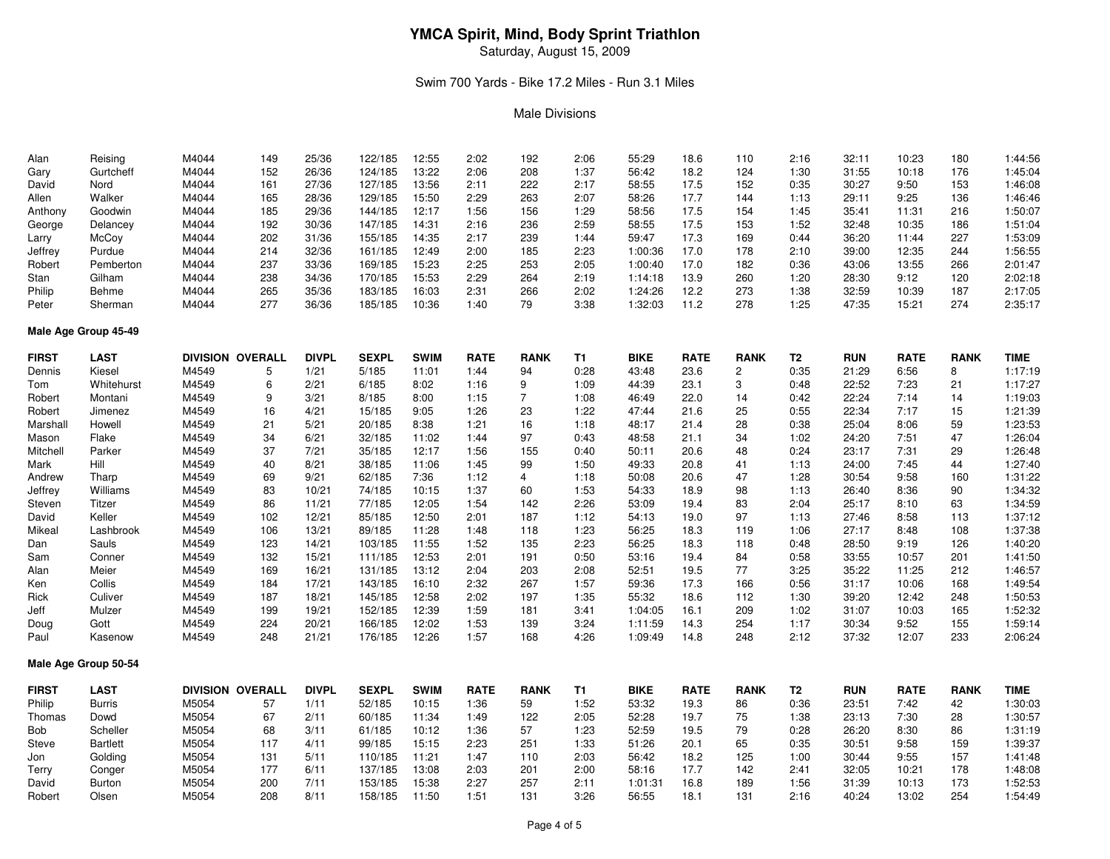Saturday, August 15, 2009

#### Swim 700 Yards - Bike 17.2 Miles - Run 3.1 Miles

#### Male Divisions

| Alan         | Reising              | M4044 | 149                     | 25/36        | 122/185      | 12:55       | 2:02        | 192            | 2:06 | 55:29       | 18.6        | 110            | 2:16           | 32:11      | 10:23       | 180         | 1:44:56     |
|--------------|----------------------|-------|-------------------------|--------------|--------------|-------------|-------------|----------------|------|-------------|-------------|----------------|----------------|------------|-------------|-------------|-------------|
| Gary         | Gurtcheff            | M4044 | 152                     | 26/36        | 124/185      | 13:22       | 2:06        | 208            | 1:37 | 56:42       | 18.2        | 124            | 1:30           | 31:55      | 10:18       | 176         | 1:45:04     |
| David        | Nord                 | M4044 | 161                     | 27/36        | 127/185      | 13:56       | 2:11        | 222            | 2:17 | 58:55       | 17.5        | 152            | 0:35           | 30:27      | 9:50        | 153         | 1:46:08     |
| Allen        | Walker               | M4044 | 165                     | 28/36        | 129/185      | 15:50       | 2:29        | 263            | 2:07 | 58:26       | 17.7        | 144            | 1:13           | 29:11      | 9:25        | 136         | 1:46:46     |
| Anthony      | Goodwin              | M4044 | 185                     | 29/36        | 144/185      | 12:17       | 1:56        | 156            | 1:29 | 58:56       | 17.5        | 154            | 1:45           | 35:41      | 11:31       | 216         | 1:50:07     |
| George       | Delancey             | M4044 | 192                     | 30/36        | 147/185      | 14:31       | 2:16        | 236            | 2:59 | 58:55       | 17.5        | 153            | 1:52           | 32:48      | 10:35       | 186         | 1:51:04     |
| Larry        | McCoy                | M4044 | 202                     | 31/36        | 155/185      | 14:35       | 2:17        | 239            | 1:44 | 59:47       | 17.3        | 169            | 0:44           | 36:20      | 11:44       | 227         | 1:53:09     |
| Jeffrey      | Purdue               | M4044 | 214                     | 32/36        | 161/185      | 12:49       | 2:00        | 185            | 2:23 | 1:00:36     | 17.0        | 178            | 2:10           | 39:00      | 12:35       | 244         | 1:56:55     |
| Robert       | Pemberton            | M4044 | 237                     | 33/36        | 169/185      | 15:23       | 2:25        | 253            | 2:05 | 1:00:40     | 17.0        | 182            | 0:36           | 43:06      | 13:55       | 266         | 2:01:47     |
| Stan         | Gilham               | M4044 | 238                     | 34/36        | 170/185      | 15:53       | 2:29        | 264            | 2:19 | 1:14:18     | 13.9        | 260            | 1:20           | 28:30      | 9:12        | 120         | 2:02:18     |
| Philip       | <b>Behme</b>         | M4044 | 265                     | 35/36        | 183/185      | 16:03       | 2:31        | 266            | 2:02 | 1:24:26     | 12.2        | 273            | 1:38           | 32:59      | 10:39       | 187         | 2:17:05     |
| Peter        | Sherman              | M4044 | 277                     | 36/36        | 185/185      | 10:36       | 1:40        | 79             | 3:38 | 1:32:03     | 11.2        | 278            | 1:25           | 47:35      | 15:21       | 274         | 2:35:17     |
|              | Male Age Group 45-49 |       |                         |              |              |             |             |                |      |             |             |                |                |            |             |             |             |
| <b>FIRST</b> | <b>LAST</b>          |       | DIVISION OVERALL        | <b>DIVPL</b> | <b>SEXPL</b> | <b>SWIM</b> | <b>RATE</b> | <b>RANK</b>    | T1   | <b>BIKE</b> | <b>RATE</b> | <b>RANK</b>    | T <sub>2</sub> | <b>RUN</b> | <b>RATE</b> | <b>RANK</b> | <b>TIME</b> |
| Dennis       | Kiesel               | M4549 | 5                       | 1/21         | 5/185        | 11:01       | 1:44        | 94             | 0:28 | 43:48       | 23.6        | $\overline{c}$ | 0:35           | 21:29      | 6:56        | 8           | 1:17:19     |
| Tom          | Whitehurst           | M4549 | 6                       | 2/21         | 6/185        | 8:02        | 1:16        | 9              | 1:09 | 44:39       | 23.1        | 3              | 0:48           | 22:52      | 7:23        | 21          | 1:17:27     |
| Robert       | Montani              | M4549 | 9                       | 3/21         | 8/185        | 8:00        | 1:15        | 7              | 1:08 | 46:49       | 22.0        | 14             | 0:42           | 22:24      | 7:14        | 14          | 1:19:03     |
| Robert       | Jimenez              | M4549 | 16                      | 4/21         | 15/185       | 9:05        | 1:26        | 23             | 1:22 | 47:44       | 21.6        | 25             | 0:55           | 22:34      | 7:17        | 15          | 1:21:39     |
| Marshall     | Howell               | M4549 | 21                      | 5/21         | 20/185       | 8:38        | 1:21        | 16             | 1:18 | 48:17       | 21.4        | 28             | 0:38           | 25:04      | 8:06        | 59          | 1:23:53     |
| Mason        | Flake                | M4549 | 34                      | 6/21         | 32/185       | 11:02       | 1:44        | 97             | 0:43 | 48:58       | 21.1        | 34             | 1:02           | 24:20      | 7:51        | 47          | 1:26:04     |
| Mitchell     | Parker               | M4549 | 37                      | 7/21         | 35/185       | 12:17       | 1:56        | 155            | 0:40 | 50:11       | 20.6        | 48             | 0:24           | 23:17      | 7:31        | 29          | 1:26:48     |
| Mark         | Hill                 | M4549 | 40                      | 8/21         | 38/185       | 11:06       | 1:45        | 99             | 1:50 | 49:33       | 20.8        | 41             | 1:13           | 24:00      | 7:45        | 44          | 1:27:40     |
| Andrew       | Tharp                | M4549 | 69                      | 9/21         | 62/185       | 7:36        | 1:12        | $\overline{4}$ | 1:18 | 50:08       | 20.6        | 47             | 1:28           | 30:54      | 9:58        | 160         | 1:31:22     |
| Jeffrey      | Williams             | M4549 | 83                      | 10/21        | 74/185       | 10:15       | 1:37        | 60             | 1:53 | 54:33       | 18.9        | 98             | 1:13           | 26:40      | 8:36        | 90          | 1:34:32     |
| Steven       | Titzer               | M4549 | 86                      | 11/21        | 77/185       | 12:05       | 1:54        | 142            | 2:26 | 53:09       | 19.4        | 83             | 2:04           | 25:17      | 8:10        | 63          | 1:34:59     |
| David        | Keller               | M4549 | 102                     | 12/21        | 85/185       | 12:50       | 2:01        | 187            | 1:12 | 54:13       | 19.0        | 97             | 1:13           | 27:46      | 8:58        | 113         | 1:37:12     |
| Mikeal       | Lashbrook            | M4549 | 106                     | 13/21        | 89/185       | 11:28       | 1:48        | 118            | 1:23 | 56:25       | 18.3        | 119            | 1:06           | 27:17      | 8:48        | 108         | 1:37:38     |
| Dan          | Sauls                | M4549 | 123                     | 14/21        | 103/185      | 11:55       | 1:52        | 135            | 2:23 | 56:25       | 18.3        | 118            | 0:48           | 28:50      | 9:19        | 126         | 1:40:20     |
| Sam          | Conner               | M4549 | 132                     | 15/21        | 111/185      | 12:53       | 2:01        | 191            | 0:50 | 53:16       | 19.4        | 84             | 0:58           | 33:55      | 10:57       | 201         | 1:41:50     |
| Alan         | Meier                | M4549 | 169                     | 16/21        | 131/185      | 13:12       | 2:04        | 203            | 2:08 | 52:51       | 19.5        | 77             | 3:25           | 35:22      | 11:25       | 212         | 1:46:57     |
| Ken          | Collis               | M4549 | 184                     | 17/21        | 143/185      | 16:10       | 2:32        | 267            | 1:57 | 59:36       | 17.3        | 166            | 0:56           | 31:17      | 10:06       | 168         | 1:49:54     |
| Rick         | Culiver              | M4549 | 187                     | 18/21        | 145/185      | 12:58       | 2:02        | 197            | 1:35 | 55:32       | 18.6        | 112            | 1:30           | 39:20      | 12:42       | 248         | 1:50:53     |
| Jeff         | Mulzer               | M4549 | 199                     | 19/21        | 152/185      | 12:39       | 1:59        | 181            | 3:41 | 1:04:05     | 16.1        | 209            | 1:02           | 31:07      | 10:03       | 165         | 1:52:32     |
| Doug         | Gott                 | M4549 | 224                     | 20/21        | 166/185      | 12:02       | 1:53        | 139            | 3:24 | 1:11:59     | 14.3        | 254            | 1:17           | 30:34      | 9:52        | 155         | 1:59:14     |
| Paul         | Kasenow              | M4549 | 248                     | 21/21        | 176/185      | 12:26       | 1:57        | 168            | 4:26 | 1:09:49     | 14.8        | 248            | 2:12           | 37:32      | 12:07       | 233         | 2:06:24     |
|              | Male Age Group 50-54 |       |                         |              |              |             |             |                |      |             |             |                |                |            |             |             |             |
| <b>FIRST</b> | <b>LAST</b>          |       | <b>DIVISION OVERALL</b> | <b>DIVPL</b> | <b>SEXPL</b> | <b>SWIM</b> | <b>RATE</b> | <b>RANK</b>    | T1   | <b>BIKE</b> | <b>RATE</b> | <b>RANK</b>    | T2             | <b>RUN</b> | <b>RATE</b> | <b>RANK</b> | <b>TIME</b> |
| Philip       | <b>Burris</b>        | M5054 | 57                      | 1/11         | 52/185       | 10:15       | 1:36        | 59             | 1:52 | 53:32       | 19.3        | 86             | 0:36           | 23:51      | 7:42        | 42          | 1:30:03     |
| Thomas       | Dowd                 | M5054 | 67                      | 2/11         | 60/185       | 11:34       | 1:49        | 122            | 2:05 | 52:28       | 19.7        | 75             | 1:38           | 23:13      | 7:30        | 28          | 1:30:57     |
| <b>Bob</b>   | Scheller             | M5054 | 68                      | 3/11         | 61/185       | 10:12       | 1:36        | 57             | 1:23 | 52:59       | 19.5        | 79             | 0:28           | 26:20      | 8:30        | 86          | 1:31:19     |
| Steve        | <b>Bartlett</b>      | M5054 | 117                     | 4/11         | 99/185       | 15:15       | 2:23        | 251            | 1:33 | 51:26       | 20.1        | 65             | 0:35           | 30:51      | 9:58        | 159         | 1:39:37     |
| Jon          | Golding              | M5054 | 131                     | 5/11         | 110/185      | 11:21       | 1:47        | 110            | 2:03 | 56:42       | 18.2        | 125            | 1:00           | 30:44      | 9:55        | 157         | 1:41:48     |
| Terry        | Conger               | M5054 | 177                     | 6/11         | 137/185      | 13:08       | 2:03        | 201            | 2:00 | 58:16       | 17.7        | 142            | 2:41           | 32:05      | 10:21       | 178         | 1:48:08     |
| David        | Burton               | M5054 | 200                     | 7/11         | 153/185      | 15:38       | 2:27        | 257            | 2:11 | 1:01:31     | 16.8        | 189            | 1:56           | 31:39      | 10:13       | 173         | 1:52:53     |
| Robert       | Olsen                | M5054 | 208                     | 8/11         | 158/185      | 11:50       | 1:51        | 131            | 3:26 | 56:55       | 18.1        | 131            | 2:16           | 40:24      | 13:02       | 254         | 1:54:49     |